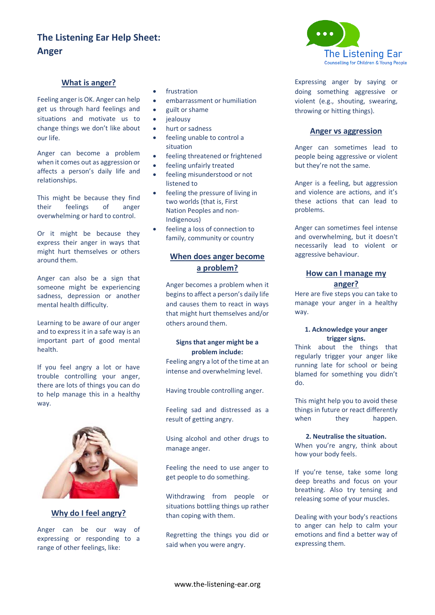# **The Listening Ear Help Sheet: Anger**

# **What is anger?**

Feeling anger is OK. Anger can help get us through hard feelings and situations and motivate us to change things we don't like about our life.

Anger can become a problem when it comes out as aggression or affects a person's daily life and relationships.

This might be because they find their feelings of anger overwhelming or hard to control.

Or it might be because they express their anger in ways that might hurt themselves or others around them.

Anger can also be a sign that someone might be experiencing sadness, depression or another mental health difficulty.

Learning to be aware of our anger and to express it in a safe way is an important part of good mental health.

If you feel angry a lot or have trouble controlling your anger, there are lots of things you can do to help manage this in a healthy way.



**Why do I feel angry?**

Anger can be our way of expressing or responding to a range of other feelings, like:

- frustration
- embarrassment or humiliation
- guilt or shame
- jealousy
- hurt or sadness
- feeling unable to control a situation
- feeling threatened or frightened
- feeling unfairly treated
- feeling misunderstood or not listened to
- feeling the pressure of living in two worlds (that is, First Nation Peoples and non-Indigenous)
- feeling a loss of connection to family, community or country

# **When does anger become a problem?**

Anger becomes a problem when it begins to affect a person's daily life and causes them to react in ways that might hurt themselves and/or others around them.

# **Signs that anger might be a problem include:**

Feeling angry a lot of the time at an intense and overwhelming level.

Having trouble controlling anger.

Feeling sad and distressed as a result of getting angry.

Using alcohol and other drugs to manage anger.

Feeling the need to use anger to get people to do something.

Withdrawing from people or situations bottling things up rather than coping with them.

Regretting the things you did or said when you were angry.



Expressing anger by saying or doing something aggressive or violent (e.g., shouting, swearing, throwing or hitting things).

# **Anger vs aggression**

Anger can sometimes lead to people being aggressive or violent but they're not the same.

Anger is a feeling, but aggression and violence are actions, and it's these actions that can lead to problems.

Anger can sometimes feel intense and overwhelming, but it doesn't necessarily lead to violent or aggressive behaviour.

# **How can I manage my anger?**

Here are five steps you can take to manage your anger in a healthy way.

#### **1. Acknowledge your anger trigger signs.**

Think about the things that regularly trigger your anger like running late for school or being blamed for something you didn't do.

This might help you to avoid these things in future or react differently when they happen.

#### **2. Neutralise the situation.**

When you're angry, think about how your body feels.

If you're tense, take some long deep breaths and focus on your breathing. Also try tensing and releasing some of your muscles.

Dealing with your body's reactions to anger can help to calm your emotions and find a better way of expressing them.